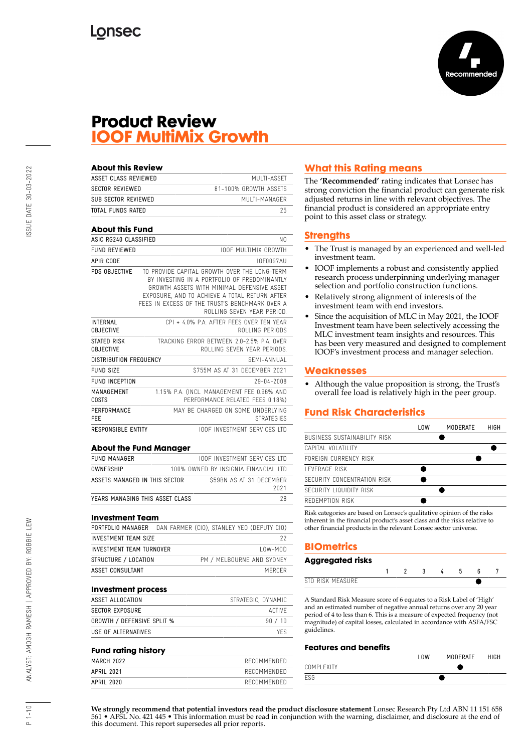

## **Product Review IOOF MultiMix Growth**

| <b>About this Review</b>            |                                                                                                                                                                                                                                                                             |
|-------------------------------------|-----------------------------------------------------------------------------------------------------------------------------------------------------------------------------------------------------------------------------------------------------------------------------|
| ASSET CLASS REVIEWED                | MULTI-ASSET                                                                                                                                                                                                                                                                 |
| <b>SECTOR REVIEWED</b>              | 81-100% GROWTH ASSETS                                                                                                                                                                                                                                                       |
| SUB SECTOR REVIEWED                 | MIJI TI-MANAGER                                                                                                                                                                                                                                                             |
| TOTAL FUNDS RATED                   | 25                                                                                                                                                                                                                                                                          |
| <b>About this Fund</b>              |                                                                                                                                                                                                                                                                             |
| ASIC RG240 CLASSIFIED               | NO.                                                                                                                                                                                                                                                                         |
| <b>FUND REVIEWED</b>                | <b>IOOF MULTIMIX GROWTH</b>                                                                                                                                                                                                                                                 |
| APIR CODE                           | 10F0097AU                                                                                                                                                                                                                                                                   |
| PDS OBJECTIVE                       | TO PROVIDE CAPITAL GROWTH OVER THE LONG-TERM<br>BY INVESTING IN A PORTFOLIO OF PREDOMINANTLY<br>GROWTH ASSFTS WITH MINIMAL DEFENSIVE ASSET<br>EXPOSURE, AND TO ACHIEVE A TOTAL RETURN AFTER<br>FFFS IN FXCFSS OF THE TRUST'S BENCHMARK OVER A<br>ROLLING SEVEN YEAR PERIOD. |
| <b>INTERNAL</b><br><b>OBJECTIVE</b> | CPI + 4.0% P.A. AFTER FEES OVER TEN YEAR<br>ROLLING PERIODS                                                                                                                                                                                                                 |
| STATED RISK<br><b>OBJECTIVE</b>     | TRACKING FRROR BETWEEN 2.0-2.5% P.A. OVER<br>ROLLING SEVEN YEAR PERIODS.                                                                                                                                                                                                    |
| DISTRIBUTION FREQUENCY              | SEMI-ANNIJAI                                                                                                                                                                                                                                                                |
| <b>FUND SIZE</b>                    | \$755M AS AT 31 DECEMBER 2021                                                                                                                                                                                                                                               |
| <b>FUND INCEPTION</b>               | 29-04-2008                                                                                                                                                                                                                                                                  |
| MANAGEMENT<br>COSTS                 | 1.15% P.A. (INCL. MANAGEMENT FEE 0.96% AND<br>PERFORMANCE RELATED FEES 0.18%)                                                                                                                                                                                               |
| PERFORMANCE<br>FFF                  | MAY BE CHARGED ON SOME UNDERLYING<br><b>STRATEGIES</b>                                                                                                                                                                                                                      |
| <b>RESPONSIBLE ENTITY</b>           | <b>IOOF INVESTMENT SERVICES ITD</b>                                                                                                                                                                                                                                         |

#### **About the Fund Manager**

| FUND MANAGER                    | <b>IOOF INVESTMENT SERVICES LTD</b>  |      |
|---------------------------------|--------------------------------------|------|
| <b>OWNERSHIP</b>                | 100% OWNED BY INSIGNIA FINANCIAL LTD |      |
| ASSETS MANAGED IN THIS SECTOR   | \$59BN AS AT 31 DECEMBER             | 2021 |
| YEARS MANAGING THIS ASSET CLASS |                                      |      |

#### **Investment Team**

|                             | PORTFOLIO MANAGER DAN FARMER (CIO), STANLEY YEO (DEPUTY CIO) |
|-----------------------------|--------------------------------------------------------------|
| <b>INVESTMENT TEAM SIZE</b> | 22                                                           |
| INVESTMENT TEAM TURNOVER    | $10W-M0D$                                                    |
| STRUCTURE / LOCATION        | PM / MELBOURNE AND SYDNEY                                    |
| ASSET CONSULTANT            | MERCER                                                       |

#### **Investment process**

| ASSET ALLOCATION                  | STRATEGIC, DYNAMIC |
|-----------------------------------|--------------------|
| SECTOR EXPOSURE                   | ACTIVE             |
| <b>GROWTH / DEFENSIVE SPLIT %</b> | 90 / 10            |
| USE OF ALTERNATIVES               | YFS.               |

#### **Fund rating history**

| MARCH 2022 | RECOMMENDED |
|------------|-------------|
| APRIL 2021 | RECOMMENDED |
| APRIL 2020 | RECOMMENDED |

## **What this Rating means**

The **'Recommended'** rating indicates that Lonsec has strong conviction the financial product can generate risk adjusted returns in line with relevant objectives. The financial product is considered an appropriate entry point to this asset class or strategy.

#### **Strengths**

- The Trust is managed by an experienced and well-led investment team.
- IOOF implements a robust and consistently applied research process underpinning underlying manager selection and portfolio construction functions.
- Relatively strong alignment of interests of the investment team with end investors.
- Since the acquisition of MLC in May 2021, the IOOF Investment team have been selectively accessing the MLC investment team insights and resources. This has been very measured and designed to complement IOOF's investment process and manager selection.

#### **Weaknesses**

• Although the value proposition is strong, the Trust's overall fee load is relatively high in the peer group.

## **Fund Risk Characteristics**

Risk categories are based on Lonsec's qualitative opinion of the risks inherent in the financial product's asset class and the risks relative to other financial products in the relevant Lonsec sector universe.

## **BIOmetrics**

| <b>Aggregated risks</b> |  |  |  |  |
|-------------------------|--|--|--|--|
|                         |  |  |  |  |
| STD RISK MFASURF        |  |  |  |  |

A Standard Risk Measure score of 6 equates to a Risk Label of 'High' and an estimated number of negative annual returns over any 20 year period of 4 to less than 6. This is a measure of expected frequency (not magnitude) of capital losses, calculated in accordance with ASFA/FSC guidelines.

#### **Features and benefits**

|             | <b>OW</b> | MODERATE | HIGH |
|-------------|-----------|----------|------|
| COMPI FXITY |           |          |      |
| ESG         |           |          |      |

SSUE DATE 30-03-2022

**We strongly recommend that potential investors read the product disclosure statement** Lonsec Research Pty Ltd ABN 11 151 658 561 • AFSL No. 421 445 • This information must be read in conjunction with the warning, disclaimer, and disclosure at the end of this document. This report supersedes all prior reports.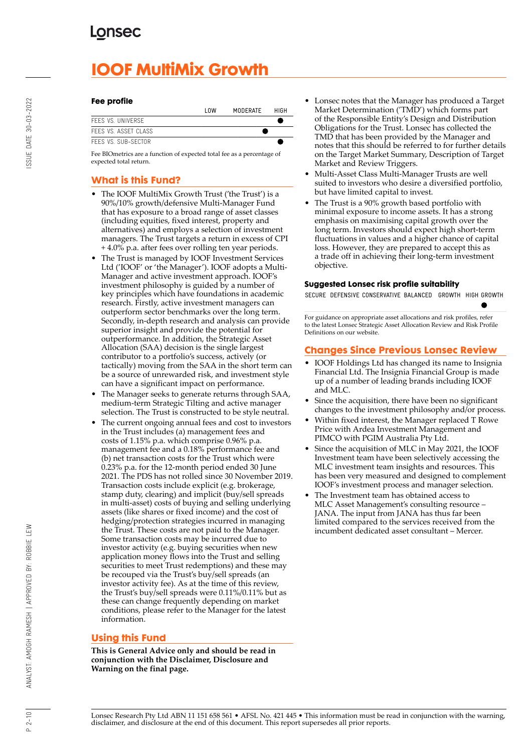# **IOOF MultiMix Growth**

#### **Fee profile**

|                     | l OW | MODERATE | HIGH |
|---------------------|------|----------|------|
| FFFS VS. UNIVERSE   |      |          |      |
| FFFS VS ASSET CLASS |      |          |      |
| FFFS VS. SUB-SECTOR |      |          |      |

Fee BIOmetrics are a function of expected total fee as a percentage of expected total return.

## **What is this Fund?**

- The IOOF MultiMix Growth Trust ('the Trust') is a 90%/10% growth/defensive Multi-Manager Fund that has exposure to a broad range of asset classes (including equities, fixed interest, property and alternatives) and employs a selection of investment managers. The Trust targets a return in excess of CPI + 4.0% p.a. after fees over rolling ten year periods.
- The Trust is managed by IOOF Investment Services Ltd ('IOOF' or 'the Manager'). IOOF adopts a Multi-Manager and active investment approach. IOOF's investment philosophy is guided by a number of key principles which have foundations in academic research. Firstly, active investment managers can outperform sector benchmarks over the long term. Secondly, in-depth research and analysis can provide superior insight and provide the potential for outperformance. In addition, the Strategic Asset Allocation (SAA) decision is the single largest contributor to a portfolio's success, actively (or tactically) moving from the SAA in the short term can be a source of unrewarded risk, and investment style can have a significant impact on performance.
- The Manager seeks to generate returns through SAA, medium-term Strategic Tilting and active manager selection. The Trust is constructed to be style neutral.
- The current ongoing annual fees and cost to investors in the Trust includes (a) management fees and costs of 1.15% p.a. which comprise 0.96% p.a. management fee and a 0.18% performance fee and (b) net transaction costs for the Trust which were 0.23% p.a. for the 12-month period ended 30 June 2021. The PDS has not rolled since 30 November 2019. Transaction costs include explicit (e.g. brokerage, stamp duty, clearing) and implicit (buy/sell spreads in multi-asset) costs of buying and selling underlying assets (like shares or fixed income) and the cost of hedging/protection strategies incurred in managing the Trust. These costs are not paid to the Manager. Some transaction costs may be incurred due to investor activity (e.g. buying securities when new application money flows into the Trust and selling securities to meet Trust redemptions) and these may be recouped via the Trust's buy/sell spreads (an investor activity fee). As at the time of this review, the Trust's buy/sell spreads were 0.11%/0.11% but as these can change frequently depending on market conditions, please refer to the Manager for the latest information.

## **Using this Fund**

**This is General Advice only and should be read in conjunction with the Disclaimer, Disclosure and Warning on the final page.**

- Lonsec notes that the Manager has produced a Target Market Determination ('TMD') which forms part of the Responsible Entity's Design and Distribution Obligations for the Trust. Lonsec has collected the TMD that has been provided by the Manager and notes that this should be referred to for further details on the Target Market Summary, Description of Target Market and Review Triggers.
- Multi-Asset Class Multi-Manager Trusts are well suited to investors who desire a diversified portfolio, but have limited capital to invest.
- The Trust is a 90% growth based portfolio with minimal exposure to income assets. It has a strong emphasis on maximising capital growth over the long term. Investors should expect high short-term fluctuations in values and a higher chance of capital loss. However, they are prepared to accept this as a trade off in achieving their long-term investment objective.

## **Suggested Lonsec risk profile suitability**

SECURE DEFENSIVE CONSERVATIVE BALANCED GROWTH HIGH GROWTH

For guidance on appropriate asset allocations and risk profiles, refer to the latest Lonsec Strategic Asset Allocation Review and Risk Profile Definitions on our website.

## **Changes Since Previous Lonsec Review**

- IOOF Holdings Ltd has changed its name to Insignia Financial Ltd. The Insignia Financial Group is made up of a number of leading brands including IOOF and MLC.
- Since the acquisition, there have been no significant changes to the investment philosophy and/or process.
- Within fixed interest, the Manager replaced T Rowe Price with Ardea Investment Management and PIMCO with PGIM Australia Pty Ltd.
- Since the acquisition of MLC in May 2021, the IOOF Investment team have been selectively accessing the MLC investment team insights and resources. This has been very measured and designed to complement IOOF's investment process and manager selection.
- The Investment team has obtained access to MLC Asset Management's consulting resource – JANA. The input from JANA has thus far been limited compared to the services received from the incumbent dedicated asset consultant – Mercer.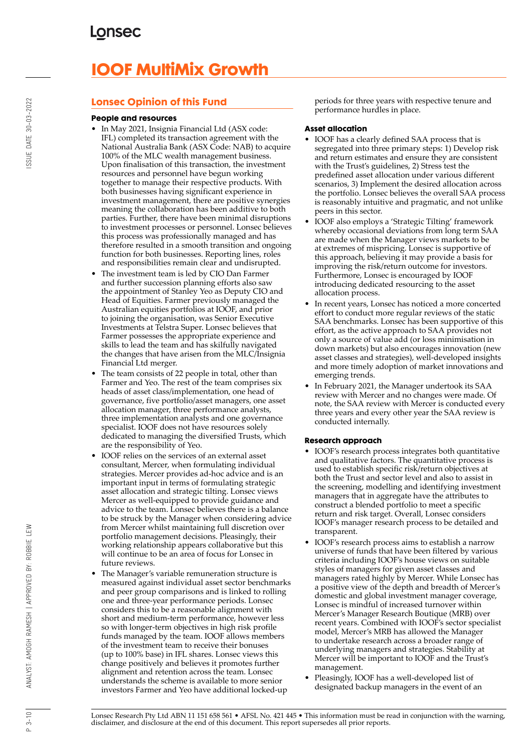# **IOOF MultiMix Growth**

## **Lonsec Opinion of this Fund**

#### **People and resources**

- In May 2021, Insignia Financial Ltd (ASX code: IFL) completed its transaction agreement with the National Australia Bank (ASX Code: NAB) to acquire 100% of the MLC wealth management business. Upon finalisation of this transaction, the investment resources and personnel have begun working together to manage their respective products. With both businesses having significant experience in investment management, there are positive synergies meaning the collaboration has been additive to both parties. Further, there have been minimal disruptions to investment processes or personnel. Lonsec believes this process was professionally managed and has therefore resulted in a smooth transition and ongoing function for both businesses. Reporting lines, roles and responsibilities remain clear and undisrupted.
- The investment team is led by CIO Dan Farmer and further succession planning efforts also saw the appointment of Stanley Yeo as Deputy CIO and Head of Equities. Farmer previously managed the Australian equities portfolios at IOOF, and prior to joining the organisation, was Senior Executive Investments at Telstra Super. Lonsec believes that Farmer possesses the appropriate experience and skills to lead the team and has skilfully navigated the changes that have arisen from the MLC/Insignia Financial Ltd merger.
- The team consists of 22 people in total, other than Farmer and Yeo. The rest of the team comprises six heads of asset class/implementation, one head of governance, five portfolio/asset managers, one asset allocation manager, three performance analysts, three implementation analysts and one governance specialist. IOOF does not have resources solely dedicated to managing the diversified Trusts, which are the responsibility of Yeo.
- IOOF relies on the services of an external asset consultant, Mercer, when formulating individual strategies. Mercer provides ad-hoc advice and is an important input in terms of formulating strategic asset allocation and strategic tilting. Lonsec views Mercer as well-equipped to provide guidance and advice to the team. Lonsec believes there is a balance to be struck by the Manager when considering advice from Mercer whilst maintaining full discretion over portfolio management decisions. Pleasingly, their working relationship appears collaborative but this will continue to be an area of focus for Lonsec in future reviews.
- The Manager's variable remuneration structure is measured against individual asset sector benchmarks and peer group comparisons and is linked to rolling one and three-year performance periods. Lonsec considers this to be a reasonable alignment with short and medium-term performance, however less so with longer-term objectives in high risk profile funds managed by the team. IOOF allows members of the investment team to receive their bonuses (up to 100% base) in IFL shares. Lonsec views this change positively and believes it promotes further alignment and retention across the team. Lonsec understands the scheme is available to more senior investors Farmer and Yeo have additional locked-up

periods for three years with respective tenure and performance hurdles in place.

## **Asset allocation**

- IOOF has a clearly defined SAA process that is segregated into three primary steps: 1) Develop risk and return estimates and ensure they are consistent with the Trust's guidelines, 2) Stress test the predefined asset allocation under various different scenarios, 3) Implement the desired allocation across the portfolio. Lonsec believes the overall SAA process is reasonably intuitive and pragmatic, and not unlike peers in this sector.
- IOOF also employs a 'Strategic Tilting' framework whereby occasional deviations from long term SAA are made when the Manager views markets to be at extremes of mispricing. Lonsec is supportive of this approach, believing it may provide a basis for improving the risk/return outcome for investors. Furthermore, Lonsec is encouraged by IOOF introducing dedicated resourcing to the asset allocation process.
- In recent years, Lonsec has noticed a more concerted effort to conduct more regular reviews of the static SAA benchmarks. Lonsec has been supportive of this effort, as the active approach to SAA provides not only a source of value add (or loss minimisation in down markets) but also encourages innovation (new asset classes and strategies), well-developed insights and more timely adoption of market innovations and emerging trends.
- In February 2021, the Manager undertook its SAA review with Mercer and no changes were made. Of note, the SAA review with Mercer is conducted every three years and every other year the SAA review is conducted internally.

## **Research approach**

- IOOF's research process integrates both quantitative and qualitative factors. The quantitative process is used to establish specific risk/return objectives at both the Trust and sector level and also to assist in the screening, modelling and identifying investment managers that in aggregate have the attributes to construct a blended portfolio to meet a specific return and risk target. Overall, Lonsec considers IOOF's manager research process to be detailed and transparent.
- IOOF's research process aims to establish a narrow universe of funds that have been filtered by various criteria including IOOF's house views on suitable styles of managers for given asset classes and managers rated highly by Mercer. While Lonsec has a positive view of the depth and breadth of Mercer's domestic and global investment manager coverage, Lonsec is mindful of increased turnover within Mercer's Manager Research Boutique (MRB) over recent years. Combined with IOOF's sector specialist model, Mercer's MRB has allowed the Manager to undertake research across a broader range of underlying managers and strategies. Stability at Mercer will be important to IOOF and the Trust's management.
- Pleasingly, IOOF has a well-developed list of designated backup managers in the event of an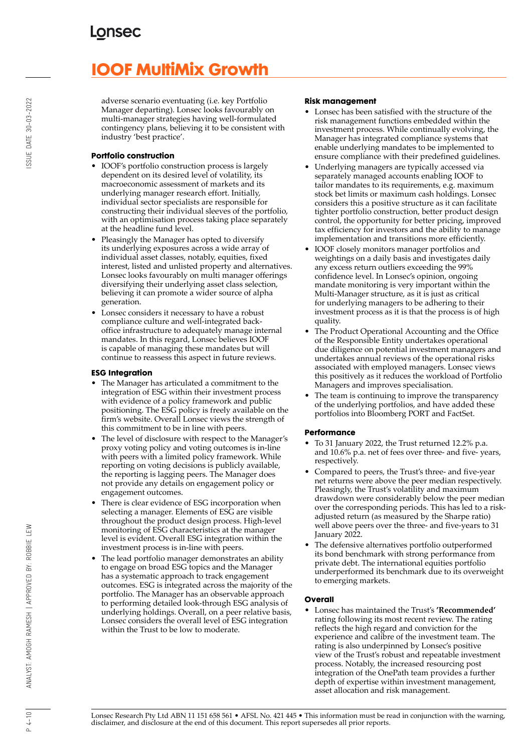# **IOOF MultiMix Growth**

adverse scenario eventuating (i.e. key Portfolio Manager departing). Lonsec looks favourably on multi-manager strategies having well-formulated contingency plans, believing it to be consistent with industry 'best practice'.

## **Portfolio construction**

- IOOF's portfolio construction process is largely dependent on its desired level of volatility, its macroeconomic assessment of markets and its underlying manager research effort. Initially, individual sector specialists are responsible for constructing their individual sleeves of the portfolio, with an optimisation process taking place separately at the headline fund level.
- Pleasingly the Manager has opted to diversify its underlying exposures across a wide array of individual asset classes, notably, equities, fixed interest, listed and unlisted property and alternatives. Lonsec looks favourably on multi manager offerings diversifying their underlying asset class selection, believing it can promote a wider source of alpha generation.
- Lonsec considers it necessary to have a robust compliance culture and well-integrated backoffice infrastructure to adequately manage internal mandates. In this regard, Lonsec believes IOOF is capable of managing these mandates but will continue to reassess this aspect in future reviews.

## **ESG Integration**

- The Manager has articulated a commitment to the integration of ESG within their investment process with evidence of a policy framework and public positioning. The ESG policy is freely available on the firm's website. Overall Lonsec views the strength of this commitment to be in line with peers.
- The level of disclosure with respect to the Manager's proxy voting policy and voting outcomes is in-line with peers with a limited policy framework. While reporting on voting decisions is publicly available, the reporting is lagging peers. The Manager does not provide any details on engagement policy or engagement outcomes.
- There is clear evidence of ESG incorporation when selecting a manager. Elements of ESG are visible throughout the product design process. High-level monitoring of ESG characteristics at the manager level is evident. Overall ESG integration within the investment process is in-line with peers.
- The lead portfolio manager demonstrates an ability to engage on broad ESG topics and the Manager has a systematic approach to track engagement outcomes. ESG is integrated across the majority of the portfolio. The Manager has an observable approach to performing detailed look-through ESG analysis of underlying holdings. Overall, on a peer relative basis, Lonsec considers the overall level of ESG integration within the Trust to be low to moderate.

#### **Risk management**

- Lonsec has been satisfied with the structure of the risk management functions embedded within the investment process. While continually evolving, the Manager has integrated compliance systems that enable underlying mandates to be implemented to ensure compliance with their predefined guidelines.
- Underlying managers are typically accessed via separately managed accounts enabling IOOF to tailor mandates to its requirements, e.g. maximum stock bet limits or maximum cash holdings. Lonsec considers this a positive structure as it can facilitate tighter portfolio construction, better product design control, the opportunity for better pricing, improved tax efficiency for investors and the ability to manage implementation and transitions more efficiently.
- IOOF closely monitors manager portfolios and weightings on a daily basis and investigates daily any excess return outliers exceeding the 99% confidence level. In Lonsec's opinion, ongoing mandate monitoring is very important within the Multi-Manager structure, as it is just as critical for underlying managers to be adhering to their investment process as it is that the process is of high quality.
- The Product Operational Accounting and the Office of the Responsible Entity undertakes operational due diligence on potential investment managers and undertakes annual reviews of the operational risks associated with employed managers. Lonsec views this positively as it reduces the workload of Portfolio Managers and improves specialisation.
- The team is continuing to improve the transparency of the underlying portfolios, and have added these portfolios into Bloomberg PORT and FactSet.

## **Performance**

- To 31 January 2022, the Trust returned 12.2% p.a. and 10.6% p.a. net of fees over three- and five- years, respectively.
- Compared to peers, the Trust's three- and five-year net returns were above the peer median respectively. Pleasingly, the Trust's volatility and maximum drawdown were considerably below the peer median over the corresponding periods. This has led to a riskadjusted return (as measured by the Sharpe ratio) well above peers over the three- and five-years to 31 January 2022.
- The defensive alternatives portfolio outperformed its bond benchmark with strong performance from private debt. The international equities portfolio underperformed its benchmark due to its overweight to emerging markets.

## **Overall**

• Lonsec has maintained the Trust's **'Recommended'** rating following its most recent review. The rating reflects the high regard and conviction for the experience and calibre of the investment team. The rating is also underpinned by Lonsec's positive view of the Trust's robust and repeatable investment process. Notably, the increased resourcing post integration of the OnePath team provides a further depth of expertise within investment management, asset allocation and risk management.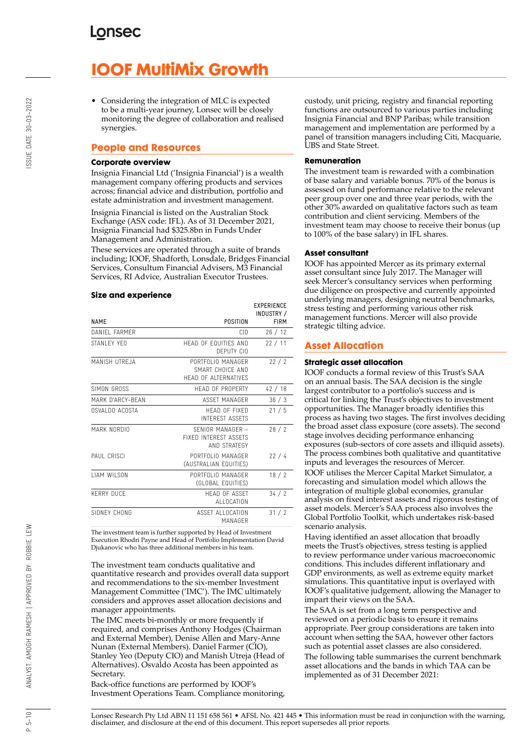# **IOOF MultiMix Growth**

• Considering the integration of MLC is expected to be a multi-year journey, Lonsec will be closely monitoring the degree of collaboration and realised synergies.

## **People and Resources**

#### **Corporate overview**

Insignia Financial Ltd ('Insignia Financial') is a wealth management company offering products and services across; financial advice and distribution, portfolio and estate administration and investment management.

Insignia Financial is listed on the Australian Stock Exchange (ASX code: IFL). As of 31 December 2021, Insignia Financial had \$325.8bn in Funds Under Management and Administration.

These services are operated through a suite of brands including; IOOF, Shadforth, Lonsdale, Bridges Financial Services, Consultum Financial Advisers, M3 Financial Services, RI Advice, Australian Executor Trustees.

#### **Size and experience**

|                     |                                                                      | ㄴ^! ㄴ!\!ㄴ!!ㄴㄴ<br>INDUSTRY / |
|---------------------|----------------------------------------------------------------------|-----------------------------|
| <b>NAME</b>         | POSITION                                                             | <b>FIRM</b>                 |
| DANIFI FARMER       | CIO                                                                  | 26/12                       |
| STANI FY YFO        | HFAD OF EQUITIES AND<br>DEPUTY CIO                                   | 22/11                       |
| MANISH UTREJA       | PORTEOLIO MANAGER<br>SMART CHOICE AND<br><b>HEAD OF ALTERNATIVES</b> | 22/2                        |
| SIMON GROSS         | <b>HFAD OF PROPERTY</b>                                              | 42/18                       |
| MARK D'ARCY-BEAN    | ASSFT MANAGER                                                        | 36/3                        |
| OSVALDO ACOSTA      | HEAD OF FIXED<br><b>INTEREST ASSETS</b>                              | 21/5                        |
| MARK NORDIO         | SENIOR MANAGER -<br><b>FIXED INTEREST ASSETS</b><br>AND STRATEGY     | 28/2                        |
| PAUL CRISCI         | PORTFOLIO MANAGER<br>(AUSTRALIAN EQUITIES)                           | 22/4                        |
| <b>I IAM WILSON</b> | PORTFOLIO MANAGER<br>(GLOBAL EQUITIES)                               | 18/2                        |
| <b>KERRY DUCF</b>   | <b>HFAD OF ASSFT</b><br>ALLOCATION                                   | 34/2                        |
| SIDNEY CHONG        | ASSET ALLOCATION<br>MANAGFR                                          | 31/2                        |

The investment team is further supported by Head of Investment Execution Rhodri Payne and Head of Portfolio Implementation David Djukanovic who has three additional members in his team.

The investment team conducts qualitative and quantitative research and provides overall data support and recommendations to the six-member Investment Management Committee ('IMC'). The IMC ultimately considers and approves asset allocation decisions and manager appointments.

The IMC meets bi-monthly or more frequently if required, and comprises Anthony Hodges (Chairman and External Member), Denise Allen and Mary-Anne Nunan (External Members). Daniel Farmer (CIO), Stanley Yeo (Deputy CIO) and Manish Utreja (Head of Alternatives). Osvaldo Acosta has been appointed as Secretary.

Back-office functions are performed by IOOF's Investment Operations Team. Compliance monitoring, custody, unit pricing, registry and financial reporting functions are outsourced to various parties including Insignia Financial and BNP Paribas; while transition management and implementation are performed by a panel of transition managers including Citi, Macquarie, UBS and State Street.

#### **Remuneration**

The investment team is rewarded with a combination of base salary and variable bonus. 70% of the bonus is assessed on fund performance relative to the relevant peer group over one and three year periods, with the other 30% awarded on qualitative factors such as team contribution and client servicing. Members of the investment team may choose to receive their bonus (up to 100% of the base salary) in IFL shares.

#### **Asset consultant**

**EVPERIENCE** 

IOOF has appointed Mercer as its primary external asset consultant since July 2017. The Manager will seek Mercer's consultancy services when performing due diligence on prospective and currently appointed underlying managers, designing neutral benchmarks, stress testing and performing various other risk management functions. Mercer will also provide strategic tilting advice.

## **Asset Allocation**

#### **Strategic asset allocation**

IOOF conducts a formal review of this Trust's SAA on an annual basis. The SAA decision is the single largest contributor to a portfolio's success and is critical for linking the Trust's objectives to investment opportunities. The Manager broadly identifies this process as having two stages. The first involves deciding the broad asset class exposure (core assets). The second stage involves deciding performance enhancing exposures (sub-sectors of core assets and illiquid assets). The process combines both qualitative and quantitative inputs and leverages the resources of Mercer.

IOOF utilises the Mercer Capital Market Simulator, a forecasting and simulation model which allows the integration of multiple global economies, granular analysis on fixed interest assets and rigorous testing of asset models. Mercer's SAA process also involves the Global Portfolio Toolkit, which undertakes risk-based scenario analysis.

Having identified an asset allocation that broadly meets the Trust's objectives, stress testing is applied to review performance under various macroeconomic conditions. This includes different inflationary and GDP environments, as well as extreme equity market simulations. This quantitative input is overlayed with IOOF's qualitative judgement, allowing the Manager to impart their views on the SAA.

The SAA is set from a long term perspective and reviewed on a periodic basis to ensure it remains appropriate. Peer group considerations are taken into account when setting the SAA, however other factors such as potential asset classes are also considered. The following table summarises the current benchmark asset allocations and the bands in which TAA can be implemented as of 31 December 2021:

Lonsec Research Pty Ltd ABN 11 151 658 561 • AFSL No. 421 445 • This information must be read in conjunction with the warning, disclaimer, and disclosure at the end of this document. This report supersedes all prior reports.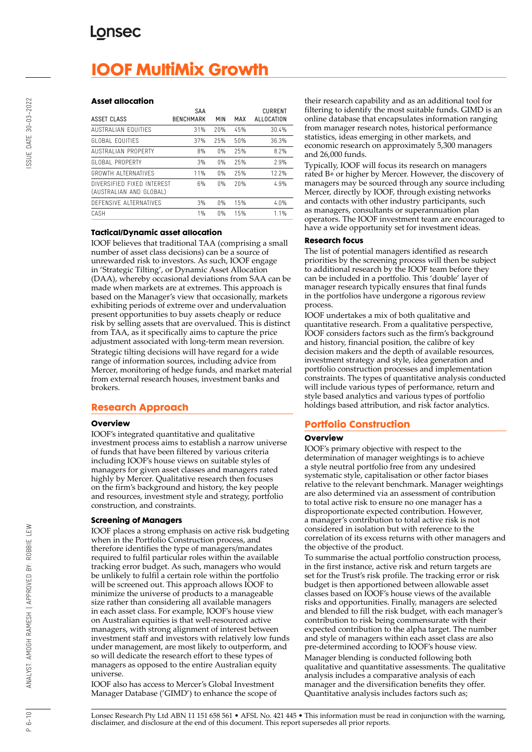# **IOOF MultiMix Growth**

#### **Asset allocation**

| ASSET CLASS                                           | SAA<br><b>BENCHMARK</b> | MIN | MAX | <b>CURRENT</b><br>ALLOCATION |
|-------------------------------------------------------|-------------------------|-----|-----|------------------------------|
| AUSTRALIAN FOUITIFS                                   | 31%                     | 20% | 45% | 30.4%                        |
| GLOBAL FOUITIES                                       | 37%                     | 25% | 50% | 36.3%                        |
| <b>AUSTRALIAN PROPERTY</b>                            | 8%                      | 0%  | 25% | 8.2%                         |
| GLOBAL PROPERTY                                       | 3%                      | 0%  | 25% | 2.9%                         |
| GROWTH ALTERNATIVES                                   | 11%                     | 0%  | 25% | 12.2%                        |
| DIVERSIFIED FIXED INTEREST<br>(AUSTRALIAN AND GLOBAL) | 6%                      | 0%  | 20% | 4.9%                         |
| DEFENSIVE ALTERNATIVES                                | 3%                      | 0%  | 15% | 4.0%                         |
| CASH                                                  | 1%                      | 0%  | 15% | 1.1%                         |

#### **Tactical/Dynamic asset allocation**

IOOF believes that traditional TAA (comprising a small number of asset class decisions) can be a source of unrewarded risk to investors. As such, IOOF engage in 'Strategic Tilting', or Dynamic Asset Allocation (DAA), whereby occasional deviations from SAA can be made when markets are at extremes. This approach is based on the Manager's view that occasionally, markets exhibiting periods of extreme over and undervaluation present opportunities to buy assets cheaply or reduce risk by selling assets that are overvalued. This is distinct from TAA, as it specifically aims to capture the price adjustment associated with long-term mean reversion. Strategic tilting decisions will have regard for a wide range of information sources, including advice from Mercer, monitoring of hedge funds, and market material from external research houses, investment banks and brokers.

#### **Research Approach**

#### **Overview**

IOOF's integrated quantitative and qualitative investment process aims to establish a narrow universe of funds that have been filtered by various criteria including IOOF's house views on suitable styles of managers for given asset classes and managers rated highly by Mercer. Qualitative research then focuses on the firm's background and history, the key people and resources, investment style and strategy, portfolio construction, and constraints.

#### **Screening of Managers**

IOOF places a strong emphasis on active risk budgeting when in the Portfolio Construction process, and therefore identifies the type of managers/mandates required to fulfil particular roles within the available tracking error budget. As such, managers who would be unlikely to fulfil a certain role within the portfolio will be screened out. This approach allows IOOF to minimize the universe of products to a manageable size rather than considering all available managers in each asset class. For example, IOOF's house view on Australian equities is that well-resourced active managers, with strong alignment of interest between investment staff and investors with relatively low funds under management, are most likely to outperform, and so will dedicate the research effort to these types of managers as opposed to the entire Australian equity universe.

IOOF also has access to Mercer's Global Investment Manager Database ('GIMD') to enhance the scope of their research capability and as an additional tool for filtering to identify the most suitable funds. GIMD is an online database that encapsulates information ranging from manager research notes, historical performance statistics, ideas emerging in other markets, and economic research on approximately 5,300 managers and 26,000 funds.

Typically, IOOF will focus its research on managers rated B+ or higher by Mercer. However, the discovery of managers may be sourced through any source including Mercer, directly by IOOF, through existing networks and contacts with other industry participants, such as managers, consultants or superannuation plan operators. The IOOF investment team are encouraged to have a wide opportunity set for investment ideas.

#### **Research focus**

The list of potential managers identified as research priorities by the screening process will then be subject to additional research by the IOOF team before they can be included in a portfolio. This 'double' layer of manager research typically ensures that final funds in the portfolios have undergone a rigorous review process.

IOOF undertakes a mix of both qualitative and quantitative research. From a qualitative perspective, IOOF considers factors such as the firm's background and history, financial position, the calibre of key decision makers and the depth of available resources, investment strategy and style, idea generation and portfolio construction processes and implementation constraints. The types of quantitative analysis conducted will include various types of performance, return and style based analytics and various types of portfolio holdings based attribution, and risk factor analytics.

## **Portfolio Construction**

#### **Overview**

IOOF's primary objective with respect to the determination of manager weightings is to achieve a style neutral portfolio free from any undesired systematic style, capitalisation or other factor biases relative to the relevant benchmark. Manager weightings are also determined via an assessment of contribution to total active risk to ensure no one manager has a disproportionate expected contribution. However, a manager's contribution to total active risk is not considered in isolation but with reference to the correlation of its excess returns with other managers and the objective of the product.

To summarise the actual portfolio construction process, in the first instance, active risk and return targets are set for the Trust's risk profile. The tracking error or risk budget is then apportioned between allowable asset classes based on IOOF's house views of the available risks and opportunities. Finally, managers are selected and blended to fill the risk budget, with each manager's contribution to risk being commensurate with their expected contribution to the alpha target. The number and style of managers within each asset class are also pre-determined according to IOOF's house view. Manager blending is conducted following both qualitative and quantitative assessments. The qualitative analysis includes a comparative analysis of each manager and the diversification benefits they offer.

Quantitative analysis includes factors such as;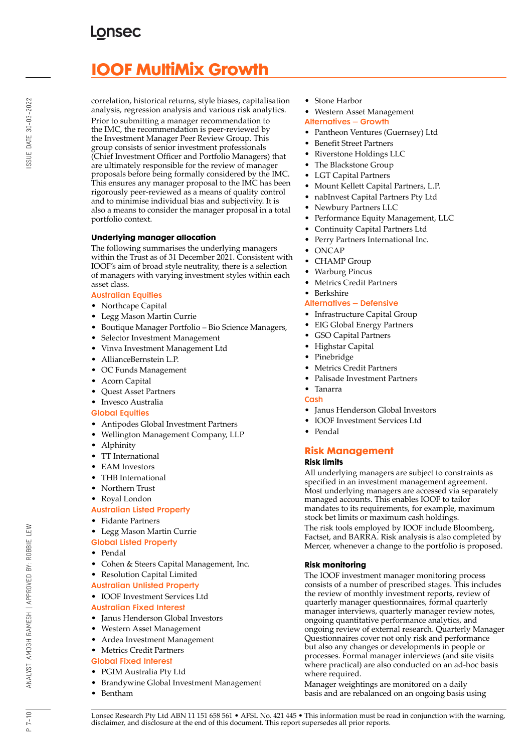# **IOOF MultiMix Growth**

correlation, historical returns, style biases, capitalisation analysis, regression analysis and various risk analytics. Prior to submitting a manager recommendation to the IMC, the recommendation is peer-reviewed by the Investment Manager Peer Review Group. This group consists of senior investment professionals (Chief Investment Officer and Portfolio Managers) that are ultimately responsible for the review of manager proposals before being formally considered by the IMC. This ensures any manager proposal to the IMC has been rigorously peer-reviewed as a means of quality control and to minimise individual bias and subjectivity. It is also a means to consider the manager proposal in a total portfolio context.

## **Underlying manager allocation**

The following summarises the underlying managers within the Trust as of 31 December 2021. Consistent with IOOF's aim of broad style neutrality, there is a selection of managers with varying investment styles within each asset class.

#### Australian Equities

- Northcape Capital
- Legg Mason Martin Currie
- Boutique Manager Portfolio Bio Science Managers,
- Selector Investment Management
- Vinva Investment Management Ltd
- AllianceBernstein L.P.
- OC Funds Management
- Acorn Capital
- Quest Asset Partners
- Invesco Australia

## Global Equities

- Antipodes Global Investment Partners
- Wellington Management Company, LLP
- Alphinity
- TT International
- EAM Investors
- THB International
- Northern Trust
- Royal London

## Australian Listed Property

- Fidante Partners
- Legg Mason Martin Currie
- Global Listed Property
- Pendal
- Cohen & Steers Capital Management, Inc.
- Resolution Capital Limited
- Australian Unlisted Property
- IOOF Investment Services Ltd
- Australian Fixed Interest
- Janus Henderson Global Investors
- Western Asset Management
- Ardea Investment Management
- Metrics Credit Partners

## Global Fixed Interest

- PGIM Australia Pty Ltd
- Brandywine Global Investment Management
- Bentham
- Stone Harbor
- Western Asset Management
- Alternatives Growth
- Pantheon Ventures (Guernsey) Ltd
- Benefit Street Partners
- Riverstone Holdings LLC
- The Blackstone Group
- LGT Capital Partners
- Mount Kellett Capital Partners, L.P.
- nabInvest Capital Partners Pty Ltd
- Newbury Partners LLC
- Performance Equity Management, LLC
- Continuity Capital Partners Ltd
- Perry Partners International Inc.
- ONCAP
- CHAMP Group
- Warburg Pincus
- Metrics Credit Partners
- Berkshire

#### Alternatives – Defensive

- Infrastructure Capital Group
- EIG Global Energy Partners
- GSO Capital Partners
- Highstar Capital
- Pinebridge
- Metrics Credit Partners
- Palisade Investment Partners
- Tanarra
- Cash
- Janus Henderson Global Investors
- IOOF Investment Services Ltd
- Pendal

## **Risk Management**

## **Risk limits**

All underlying managers are subject to constraints as specified in an investment management agreement. Most underlying managers are accessed via separately managed accounts. This enables IOOF to tailor mandates to its requirements, for example, maximum stock bet limits or maximum cash holdings. The risk tools employed by IOOF include Bloomberg, Factset, and BARRA. Risk analysis is also completed by Mercer, whenever a change to the portfolio is proposed.

#### **Risk monitoring**

The IOOF investment manager monitoring process consists of a number of prescribed stages. This includes the review of monthly investment reports, review of quarterly manager questionnaires, formal quarterly manager interviews, quarterly manager review notes, ongoing quantitative performance analytics, and ongoing review of external research. Quarterly Manager Questionnaires cover not only risk and performance but also any changes or developments in people or processes. Formal manager interviews (and site visits where practical) are also conducted on an ad-hoc basis where required.

Manager weightings are monitored on a daily basis and are rebalanced on an ongoing basis using

 $P 7 - 10$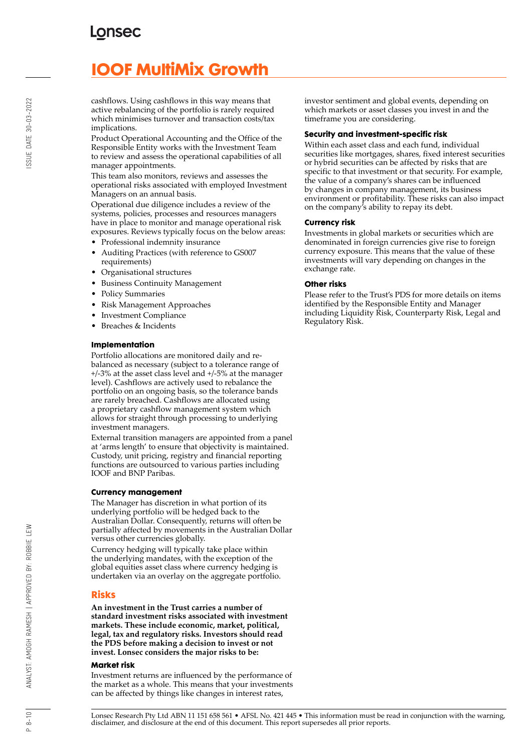# **IOOF MultiMix Growth**

cashflows. Using cashflows in this way means that active rebalancing of the portfolio is rarely required which minimises turnover and transaction costs/tax implications.

Product Operational Accounting and the Office of the Responsible Entity works with the Investment Team to review and assess the operational capabilities of all manager appointments.

This team also monitors, reviews and assesses the operational risks associated with employed Investment Managers on an annual basis.

Operational due diligence includes a review of the systems, policies, processes and resources managers have in place to monitor and manage operational risk exposures. Reviews typically focus on the below areas:

- Professional indemnity insurance
- Auditing Practices (with reference to GS007 requirements)
- Organisational structures
- Business Continuity Management
- Policy Summaries
- Risk Management Approaches
- Investment Compliance
- Breaches & Incidents

#### **Implementation**

Portfolio allocations are monitored daily and rebalanced as necessary (subject to a tolerance range of +/-3% at the asset class level and +/-5% at the manager level). Cashflows are actively used to rebalance the portfolio on an ongoing basis, so the tolerance bands are rarely breached. Cashflows are allocated using a proprietary cashflow management system which allows for straight through processing to underlying investment managers.

External transition managers are appointed from a panel at 'arms length' to ensure that objectivity is maintained. Custody, unit pricing, registry and financial reporting functions are outsourced to various parties including IOOF and BNP Paribas.

#### **Currency management**

The Manager has discretion in what portion of its underlying portfolio will be hedged back to the Australian Dollar. Consequently, returns will often be partially affected by movements in the Australian Dollar versus other currencies globally.

Currency hedging will typically take place within the underlying mandates, with the exception of the global equities asset class where currency hedging is undertaken via an overlay on the aggregate portfolio.

## **Risks**

**An investment in the Trust carries a number of standard investment risks associated with investment markets. These include economic, market, political, legal, tax and regulatory risks. Investors should read the PDS before making a decision to invest or not invest. Lonsec considers the major risks to be:**

#### **Market risk**

Investment returns are influenced by the performance of the market as a whole. This means that your investments can be affected by things like changes in interest rates,

investor sentiment and global events, depending on which markets or asset classes you invest in and the timeframe you are considering.

#### **Security and investment-specific risk**

Within each asset class and each fund, individual securities like mortgages, shares, fixed interest securities or hybrid securities can be affected by risks that are specific to that investment or that security. For example, the value of a company's shares can be influenced by changes in company management, its business environment or profitability. These risks can also impact on the company's ability to repay its debt.

#### **Currency risk**

Investments in global markets or securities which are denominated in foreign currencies give rise to foreign currency exposure. This means that the value of these investments will vary depending on changes in the exchange rate.

#### **Other risks**

Please refer to the Trust's PDS for more details on items identified by the Responsible Entity and Manager including Liquidity Risk, Counterparty Risk, Legal and Regulatory Risk.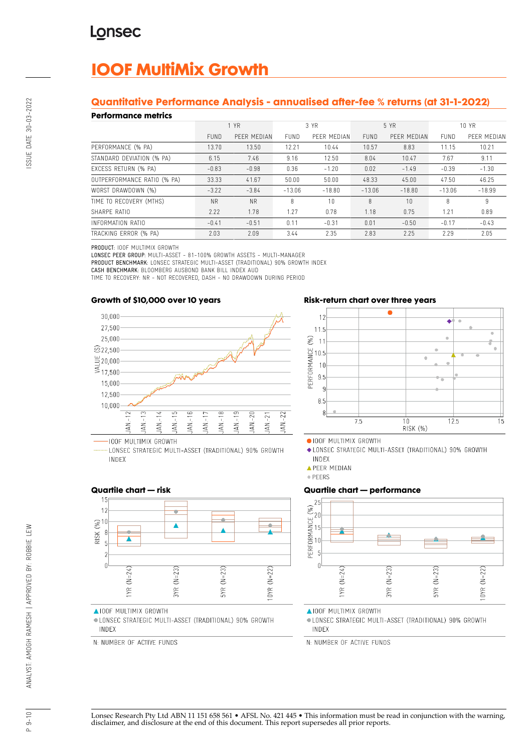# **IOOF MultiMix Growth**

## **Quantitative Performance Analysis - annualised after-fee % returns (at 31-1-2022)**

#### **Performance metrics**

| 1 YN SHIP YN HIMIDYD        |             |             |             |             |             |             |             |             |
|-----------------------------|-------------|-------------|-------------|-------------|-------------|-------------|-------------|-------------|
|                             | 1 YR        |             | 3 YR        |             | 5 YR        |             | 10 YR       |             |
|                             | <b>FUND</b> | PEER MEDIAN | <b>FUND</b> | PEER MEDIAN | <b>FUND</b> | PEER MEDIAN | <b>FUND</b> | PEER MEDIAN |
| PERFORMANCE (% PA)          | 13.70       | 13.50       | 12.21       | 10.44       | 10.57       | 8.83        | 11.15       | 10.21       |
| STANDARD DEVIATION (% PA)   | 6.15        | 7.46        | 9.16        | 12.50       | 8.04        | 10.47       | 7.67        | 9.11        |
| EXCESS RETURN (% PA)        | $-0.83$     | $-0.98$     | 0.36        | $-1.20$     | 0.02        | $-1.49$     | $-0.39$     | $-1.30$     |
| OUTPERFORMANCE RATIO (% PA) | 33.33       | 41.67       | 50.00       | 50.00       | 48.33       | 45.00       | 47.50       | 46.25       |
| WORST DRAWDOWN (%)          | $-3.22$     | $-3.84$     | $-13.06$    | $-18.80$    | $-13.06$    | $-18.80$    | $-13.06$    | $-18.99$    |
| TIME TO RECOVERY (MTHS)     | <b>NR</b>   | <b>NR</b>   | 8           | 10          | 8           | 10          | 8           | 9           |
| SHARPE RATIO                | 2.22        | 1.78        | 1.27        | 0.78        | 1.18        | 0.75        | 1.21        | 0.89        |
| INFORMATION RATIO           | $-0.41$     | $-0.51$     | 0.11        | $-0.31$     | 0.01        | $-0.50$     | $-0.17$     | $-0.43$     |
| TRACKING ERROR (% PA)       | 2.03        | 2.09        | 3.44        | 2.35        | 2.83        | 2.25        | 2.29        | 2.05        |

PRODUCT: IOOF MULTIMIX GROWTH

LONSEC PEER GROUP: MULTI-ASSET - 81-100% GROWTH ASSETS - MULTI-MANAGER PRODUCT BENCHMARK: LONSEC STRATEGIC MULTI-ASSET (TRADITIONAL) 90% GROWTH INDEX

CASH BENCHMARK: BLOOMBERG AUSBOND BANK BILL INDEX AUD

TIME TO RECOVERY: NR - NOT RECOVERED, DASH - NO DRAWDOWN DURING PERIOD

#### **Growth of \$10,000 over 10 years**



LONSEC STRATEGIC MULTI-ASSET (TRADITIONAL) 90% GROWTH INDEX





· IOOF MULTIMIX GROWTH

◆ LONSEC STRATEGIC MULTI-ASSET (TRADITIONAL) 90% GROWTH INDEX

**APEER MEDIAN** 

· PEERS

## **Quartile chart — performance**



**AIOOF MULTIMIX GROWTH** 

· LONSEC STRATEGIC MULTI-ASSET (TRADITIONAL) 90% GROWTH INDEX

N: NUMBER OF ACTIVE FUNDS

## **Quartile chart — risk**



**AIOOF MULTIMIX GROWTH** 

· LONSEC STRATEGIC MULTI-ASSET (TRADITIONAL) 90% GROWTH INDEX

N: NUMBER OF ACTIVE FUNDS